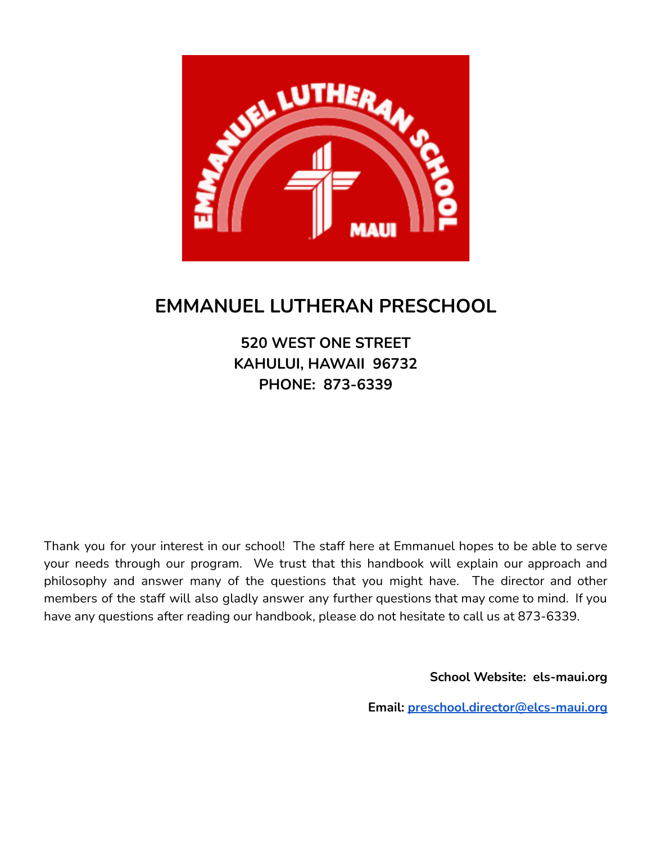

# **EMMANUEL LUTHERAN PRESCHOOL**

**520 WEST ONE STREET KAHULUI, HAWAII 96732 PHONE: 873-6339**

Thank you for your interest in our school! The staff here at Emmanuel hopes to be able to serve your needs through our program. We trust that this handbook will explain our approach and philosophy and answer many of the questions that you might have. The director and other members of the staff will also gladly answer any further questions that may come to mind. If you have any questions after reading our handbook, please do not hesitate to call us at 873-6339.

**School Website: els-maui.org**

**Email: [preschool.director@elcs-maui.org](mailto:preschool.director@elcs-maui.org)**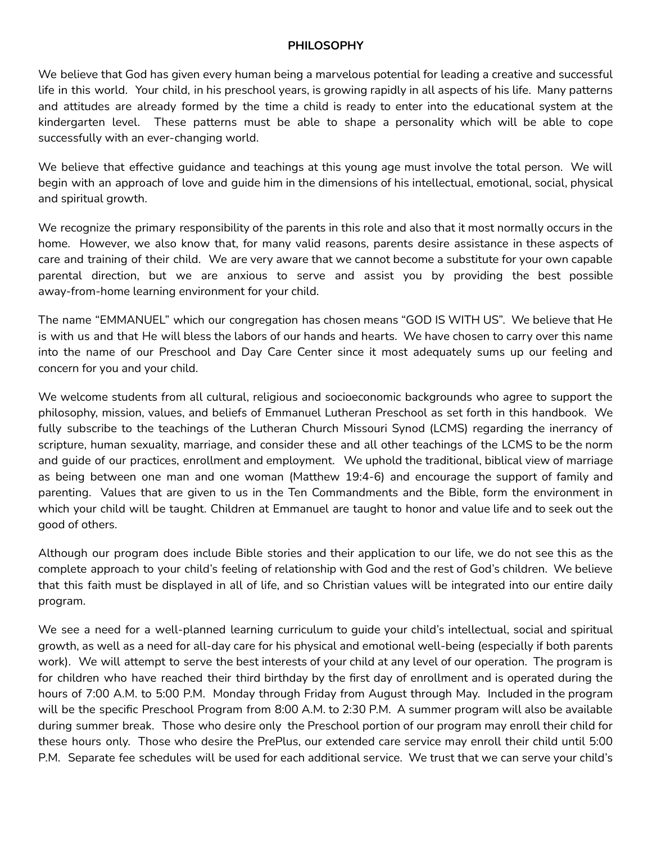#### **PHILOSOPHY**

We believe that God has given every human being a marvelous potential for leading a creative and successful life in this world. Your child, in his preschool years, is growing rapidly in all aspects of his life. Many patterns and attitudes are already formed by the time a child is ready to enter into the educational system at the kindergarten level. These patterns must be able to shape a personality which will be able to cope successfully with an ever-changing world.

We believe that effective guidance and teachings at this young age must involve the total person. We will begin with an approach of love and guide him in the dimensions of his intellectual, emotional, social, physical and spiritual growth.

We recognize the primary responsibility of the parents in this role and also that it most normally occurs in the home. However, we also know that, for many valid reasons, parents desire assistance in these aspects of care and training of their child. We are very aware that we cannot become a substitute for your own capable parental direction, but we are anxious to serve and assist you by providing the best possible away-from-home learning environment for your child.

The name "EMMANUEL" which our congregation has chosen means "GOD IS WITH US". We believe that He is with us and that He will bless the labors of our hands and hearts. We have chosen to carry over this name into the name of our Preschool and Day Care Center since it most adequately sums up our feeling and concern for you and your child.

We welcome students from all cultural, religious and socioeconomic backgrounds who agree to support the philosophy, mission, values, and beliefs of Emmanuel Lutheran Preschool as set forth in this handbook. We fully subscribe to the teachings of the Lutheran Church Missouri Synod (LCMS) regarding the inerrancy of scripture, human sexuality, marriage, and consider these and all other teachings of the LCMS to be the norm and guide of our practices, enrollment and employment. We uphold the traditional, biblical view of marriage as being between one man and one woman (Matthew 19:4-6) and encourage the support of family and parenting. Values that are given to us in the Ten Commandments and the Bible, form the environment in which your child will be taught. Children at Emmanuel are taught to honor and value life and to seek out the good of others.

Although our program does include Bible stories and their application to our life, we do not see this as the complete approach to your child's feeling of relationship with God and the rest of God's children. We believe that this faith must be displayed in all of life, and so Christian values will be integrated into our entire daily program.

We see a need for a well-planned learning curriculum to guide your child's intellectual, social and spiritual growth, as well as a need for all-day care for his physical and emotional well-being (especially if both parents work). We will attempt to serve the best interests of your child at any level of our operation. The program is for children who have reached their third birthday by the first day of enrollment and is operated during the hours of 7:00 A.M. to 5:00 P.M. Monday through Friday from August through May. Included in the program will be the specific Preschool Program from 8:00 A.M. to 2:30 P.M. A summer program will also be available during summer break. Those who desire only the Preschool portion of our program may enroll their child for these hours only. Those who desire the PrePlus, our extended care service may enroll their child until 5:00 P.M. Separate fee schedules will be used for each additional service. We trust that we can serve your child's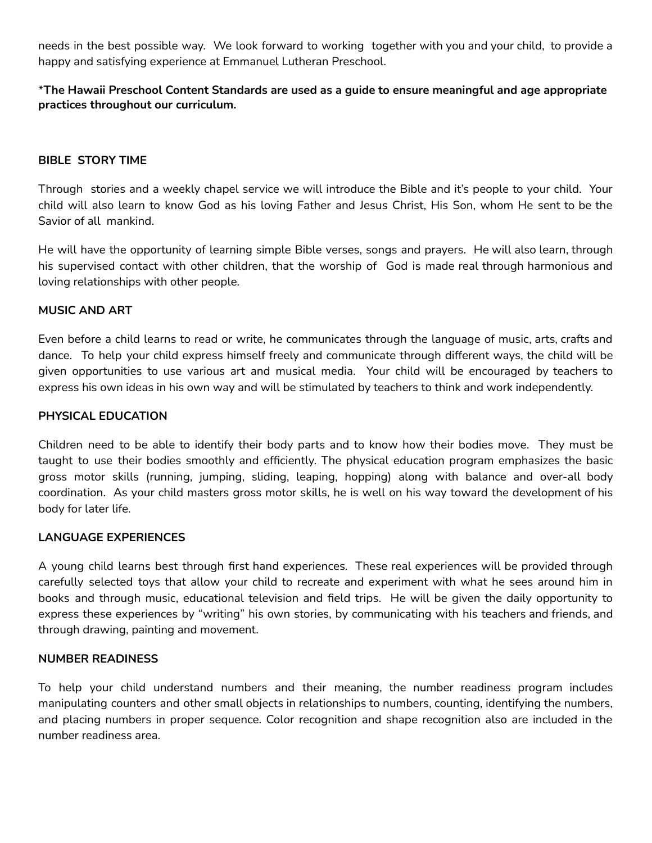needs in the best possible way. We look forward to working together with you and your child, to provide a happy and satisfying experience at Emmanuel Lutheran Preschool.

# \***The Hawaii Preschool Content Standards are used as a guide to ensure meaningful and age appropriate practices throughout our curriculum.**

# **BIBLE STORY TIME**

Through stories and a weekly chapel service we will introduce the Bible and it's people to your child. Your child will also learn to know God as his loving Father and Jesus Christ, His Son, whom He sent to be the Savior of all mankind.

He will have the opportunity of learning simple Bible verses, songs and prayers. He will also learn, through his supervised contact with other children, that the worship of God is made real through harmonious and loving relationships with other people.

## **MUSIC AND ART**

Even before a child learns to read or write, he communicates through the language of music, arts, crafts and dance. To help your child express himself freely and communicate through different ways, the child will be given opportunities to use various art and musical media. Your child will be encouraged by teachers to express his own ideas in his own way and will be stimulated by teachers to think and work independently.

## **PHYSICAL EDUCATION**

Children need to be able to identify their body parts and to know how their bodies move. They must be taught to use their bodies smoothly and efficiently. The physical education program emphasizes the basic gross motor skills (running, jumping, sliding, leaping, hopping) along with balance and over-all body coordination. As your child masters gross motor skills, he is well on his way toward the development of his body for later life.

## **LANGUAGE EXPERIENCES**

A young child learns best through first hand experiences. These real experiences will be provided through carefully selected toys that allow your child to recreate and experiment with what he sees around him in books and through music, educational television and field trips. He will be given the daily opportunity to express these experiences by "writing" his own stories, by communicating with his teachers and friends, and through drawing, painting and movement.

## **NUMBER READINESS**

To help your child understand numbers and their meaning, the number readiness program includes manipulating counters and other small objects in relationships to numbers, counting, identifying the numbers, and placing numbers in proper sequence. Color recognition and shape recognition also are included in the number readiness area.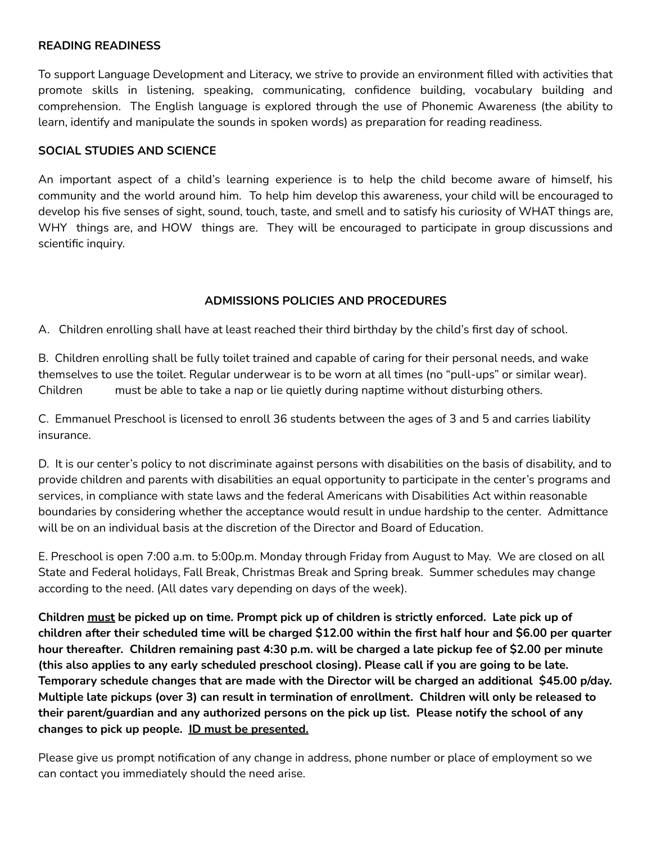#### **READING READINESS**

To support Language Development and Literacy, we strive to provide an environment filled with activities that promote skills in listening, speaking, communicating, confidence building, vocabulary building and comprehension. The English language is explored through the use of Phonemic Awareness (the ability to learn, identify and manipulate the sounds in spoken words) as preparation for reading readiness.

## **SOCIAL STUDIES AND SCIENCE**

An important aspect of a child's learning experience is to help the child become aware of himself, his community and the world around him. To help him develop this awareness, your child will be encouraged to develop his five senses of sight, sound, touch, taste, and smell and to satisfy his curiosity of WHAT things are, WHY things are, and HOW things are. They will be encouraged to participate in group discussions and scientific inquiry.

# **ADMISSIONS POLICIES AND PROCEDURES**

A. Children enrolling shall have at least reached their third birthday by the child's first day of school.

B. Children enrolling shall be fully toilet trained and capable of caring for their personal needs, and wake themselves to use the toilet. Regular underwear is to be worn at all times (no "pull-ups" or similar wear). Children must be able to take a nap or lie quietly during naptime without disturbing others.

C. Emmanuel Preschool is licensed to enroll 36 students between the ages of 3 and 5 and carries liability insurance.

D. It is our center's policy to not discriminate against persons with disabilities on the basis of disability, and to provide children and parents with disabilities an equal opportunity to participate in the center's programs and services, in compliance with state laws and the federal Americans with Disabilities Act within reasonable boundaries by considering whether the acceptance would result in undue hardship to the center. Admittance will be on an individual basis at the discretion of the Director and Board of Education.

E. Preschool is open 7:00 a.m. to 5:00p.m. Monday through Friday from August to May. We are closed on all State and Federal holidays, Fall Break, Christmas Break and Spring break. Summer schedules may change according to the need. (All dates vary depending on days of the week).

Children must be picked up on time. Prompt pick up of children is strictly enforced. Late pick up of children after their scheduled time will be charged \$12.00 within the first half hour and \$6.00 per quarter hour thereafter. Children remaining past 4:30 p.m. will be charged a late pickup fee of \$2.00 per minute (this also applies to any early scheduled preschool closing). Please call if you are going to be late. **Temporary schedule changes that are made with the Director will be charged an additional \$45.00 p/day. Multiple late pickups (over 3) can result in termination of enrollment. Children will only be released to their parent/guardian and any authorized persons on the pick up list. Please notify the school of any changes to pick up people. ID must be presented.**

Please give us prompt notification of any change in address, phone number or place of employment so we can contact you immediately should the need arise.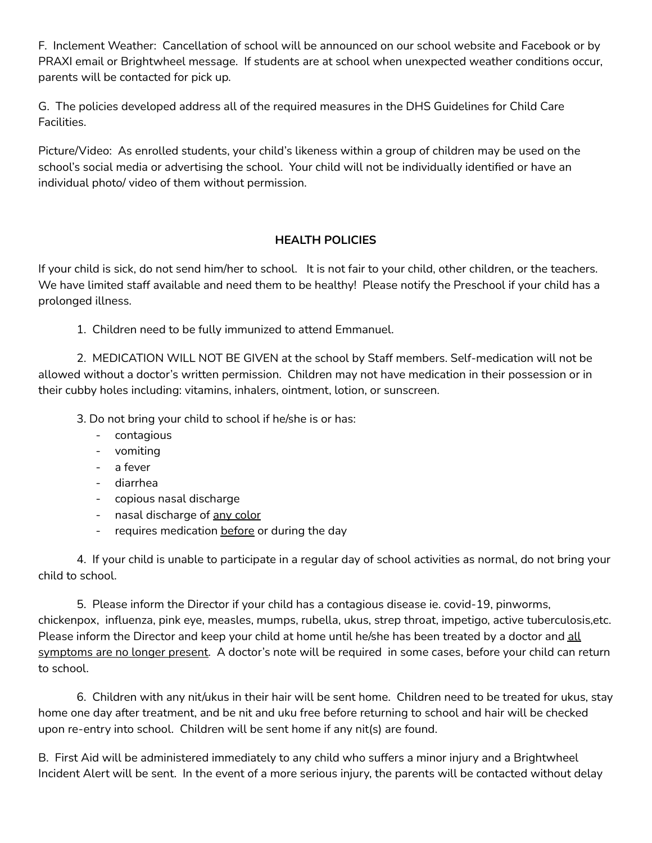F. Inclement Weather: Cancellation of school will be announced on our school website and Facebook or by PRAXI email or Brightwheel message. If students are at school when unexpected weather conditions occur, parents will be contacted for pick up.

G. The policies developed address all of the required measures in the DHS Guidelines for Child Care Facilities.

Picture/Video: As enrolled students, your child's likeness within a group of children may be used on the school's social media or advertising the school. Your child will not be individually identified or have an individual photo/ video of them without permission.

# **HEALTH POLICIES**

If your child is sick, do not send him/her to school. It is not fair to your child, other children, or the teachers. We have limited staff available and need them to be healthy! Please notify the Preschool if your child has a prolonged illness.

1. Children need to be fully immunized to attend Emmanuel.

2. MEDICATION WILL NOT BE GIVEN at the school by Staff members. Self-medication will not be allowed without a doctor's written permission. Children may not have medication in their possession or in their cubby holes including: vitamins, inhalers, ointment, lotion, or sunscreen.

3. Do not bring your child to school if he/she is or has:

- contagious
- vomiting
- a fever
- diarrhea
- copious nasal discharge
- nasal discharge of any color
- requires medication before or during the day

4. If your child is unable to participate in a regular day of school activities as normal, do not bring your child to school.

5. Please inform the Director if your child has a contagious disease ie. covid-19, pinworms, chickenpox, influenza, pink eye, measles, mumps, rubella, ukus, strep throat, impetigo, active tuberculosis,etc. Please inform the Director and keep your child at home until he/she has been treated by a doctor and all symptoms are no longer present. A doctor's note will be required in some cases, before your child can return to school.

6. Children with any nit/ukus in their hair will be sent home. Children need to be treated for ukus, stay home one day after treatment, and be nit and uku free before returning to school and hair will be checked upon re-entry into school. Children will be sent home if any nit(s) are found.

B. First Aid will be administered immediately to any child who suffers a minor injury and a Brightwheel Incident Alert will be sent. In the event of a more serious injury, the parents will be contacted without delay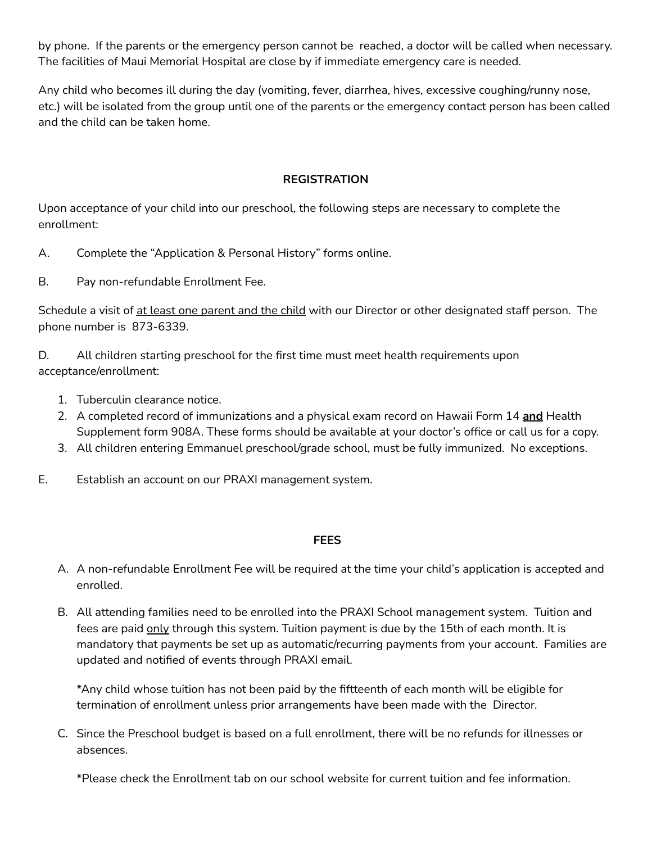by phone. If the parents or the emergency person cannot be reached, a doctor will be called when necessary. The facilities of Maui Memorial Hospital are close by if immediate emergency care is needed.

Any child who becomes ill during the day (vomiting, fever, diarrhea, hives, excessive coughing/runny nose, etc.) will be isolated from the group until one of the parents or the emergency contact person has been called and the child can be taken home.

# **REGISTRATION**

Upon acceptance of your child into our preschool, the following steps are necessary to complete the enrollment:

- A. Complete the "Application & Personal History" forms online.
- B. Pay non-refundable Enrollment Fee.

Schedule a visit of at least one parent and the child with our Director or other designated staff person. The phone number is 873-6339.

D. All children starting preschool for the first time must meet health requirements upon acceptance/enrollment:

- 1. Tuberculin clearance notice.
- 2. A completed record of immunizations and a physical exam record on Hawaii Form 14 **and** Health Supplement form 908A. These forms should be available at your doctor's office or call us for a copy.
- 3. All children entering Emmanuel preschool/grade school, must be fully immunized. No exceptions.
- E. Establish an account on our PRAXI management system.

## **FEES**

- A. A non-refundable Enrollment Fee will be required at the time your child's application is accepted and enrolled.
- B. All attending families need to be enrolled into the PRAXI School management system. Tuition and fees are paid only through this system. Tuition payment is due by the 15th of each month. It is mandatory that payments be set up as automatic/recurring payments from your account. Families are updated and notified of events through PRAXI email.

\*Any child whose tuition has not been paid by the fiftteenth of each month will be eligible for termination of enrollment unless prior arrangements have been made with the Director.

C. Since the Preschool budget is based on a full enrollment, there will be no refunds for illnesses or absences.

\*Please check the Enrollment tab on our school website for current tuition and fee information.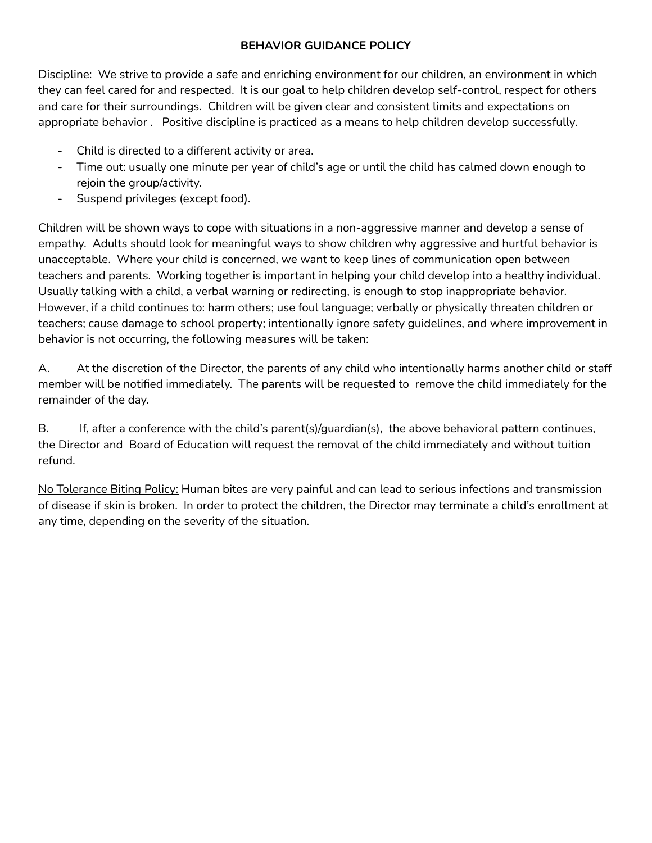# **BEHAVIOR GUIDANCE POLICY**

Discipline: We strive to provide a safe and enriching environment for our children, an environment in which they can feel cared for and respected. It is our goal to help children develop self-control, respect for others and care for their surroundings. Children will be given clear and consistent limits and expectations on appropriate behavior . Positive discipline is practiced as a means to help children develop successfully.

- Child is directed to a different activity or area.
- Time out: usually one minute per year of child's age or until the child has calmed down enough to rejoin the group/activity.
- Suspend privileges (except food).

Children will be shown ways to cope with situations in a non-aggressive manner and develop a sense of empathy. Adults should look for meaningful ways to show children why aggressive and hurtful behavior is unacceptable. Where your child is concerned, we want to keep lines of communication open between teachers and parents. Working together is important in helping your child develop into a healthy individual. Usually talking with a child, a verbal warning or redirecting, is enough to stop inappropriate behavior. However, if a child continues to: harm others; use foul language; verbally or physically threaten children or teachers; cause damage to school property; intentionally ignore safety guidelines, and where improvement in behavior is not occurring, the following measures will be taken:

A. At the discretion of the Director, the parents of any child who intentionally harms another child or staff member will be notified immediately. The parents will be requested to remove the child immediately for the remainder of the day.

B. If, after a conference with the child's parent(s)/guardian(s), the above behavioral pattern continues, the Director and Board of Education will request the removal of the child immediately and without tuition refund.

No Tolerance Biting Policy: Human bites are very painful and can lead to serious infections and transmission of disease if skin is broken. In order to protect the children, the Director may terminate a child's enrollment at any time, depending on the severity of the situation.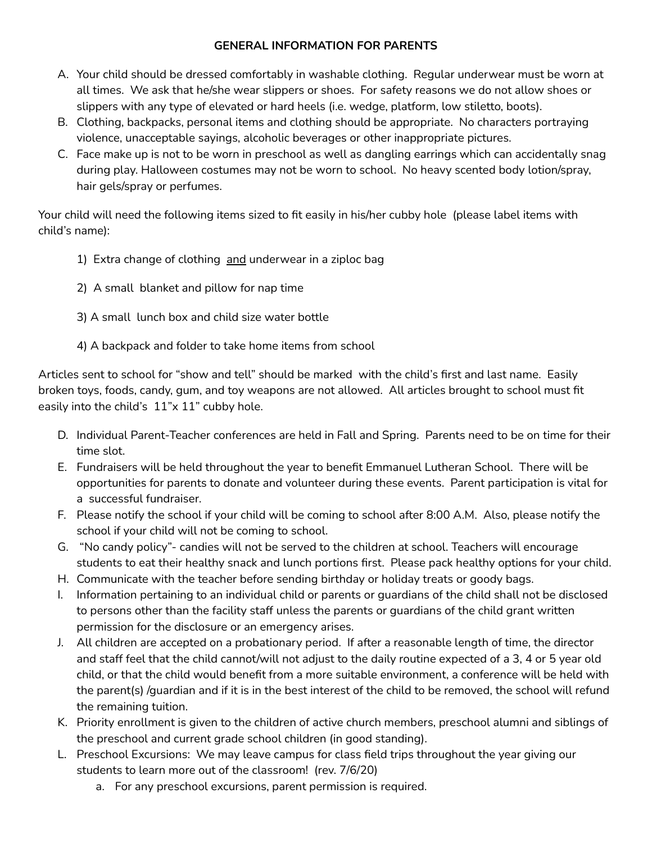# **GENERAL INFORMATION FOR PARENTS**

- A. Your child should be dressed comfortably in washable clothing. Regular underwear must be worn at all times. We ask that he/she wear slippers or shoes. For safety reasons we do not allow shoes or slippers with any type of elevated or hard heels (i.e. wedge, platform, low stiletto, boots).
- B. Clothing, backpacks, personal items and clothing should be appropriate. No characters portraying violence, unacceptable sayings, alcoholic beverages or other inappropriate pictures.
- C. Face make up is not to be worn in preschool as well as dangling earrings which can accidentally snag during play. Halloween costumes may not be worn to school. No heavy scented body lotion/spray, hair gels/spray or perfumes.

Your child will need the following items sized to fit easily in his/her cubby hole (please label items with child's name):

- 1) Extra change of clothing and underwear in a ziploc bag
- 2) A small blanket and pillow for nap time
- 3) A small lunch box and child size water bottle
- 4) A backpack and folder to take home items from school

Articles sent to school for "show and tell" should be marked with the child's first and last name. Easily broken toys, foods, candy, gum, and toy weapons are not allowed. All articles brought to school must fit easily into the child's 11"x 11" cubby hole.

- D. Individual Parent-Teacher conferences are held in Fall and Spring. Parents need to be on time for their time slot.
- E. Fundraisers will be held throughout the year to benefit Emmanuel Lutheran School. There will be opportunities for parents to donate and volunteer during these events. Parent participation is vital for a successful fundraiser.
- F. Please notify the school if your child will be coming to school after 8:00 A.M. Also, please notify the school if your child will not be coming to school.
- G. "No candy policy"- candies will not be served to the children at school. Teachers will encourage students to eat their healthy snack and lunch portions first. Please pack healthy options for your child.
- H. Communicate with the teacher before sending birthday or holiday treats or goody bags.
- I. Information pertaining to an individual child or parents or guardians of the child shall not be disclosed to persons other than the facility staff unless the parents or guardians of the child grant written permission for the disclosure or an emergency arises.
- J. All children are accepted on a probationary period. If after a reasonable length of time, the director and staff feel that the child cannot/will not adjust to the daily routine expected of a 3, 4 or 5 year old child, or that the child would benefit from a more suitable environment, a conference will be held with the parent(s) /guardian and if it is in the best interest of the child to be removed, the school will refund the remaining tuition.
- K. Priority enrollment is given to the children of active church members, preschool alumni and siblings of the preschool and current grade school children (in good standing).
- L. Preschool Excursions: We may leave campus for class field trips throughout the year giving our students to learn more out of the classroom! (rev. 7/6/20)
	- a. For any preschool excursions, parent permission is required.